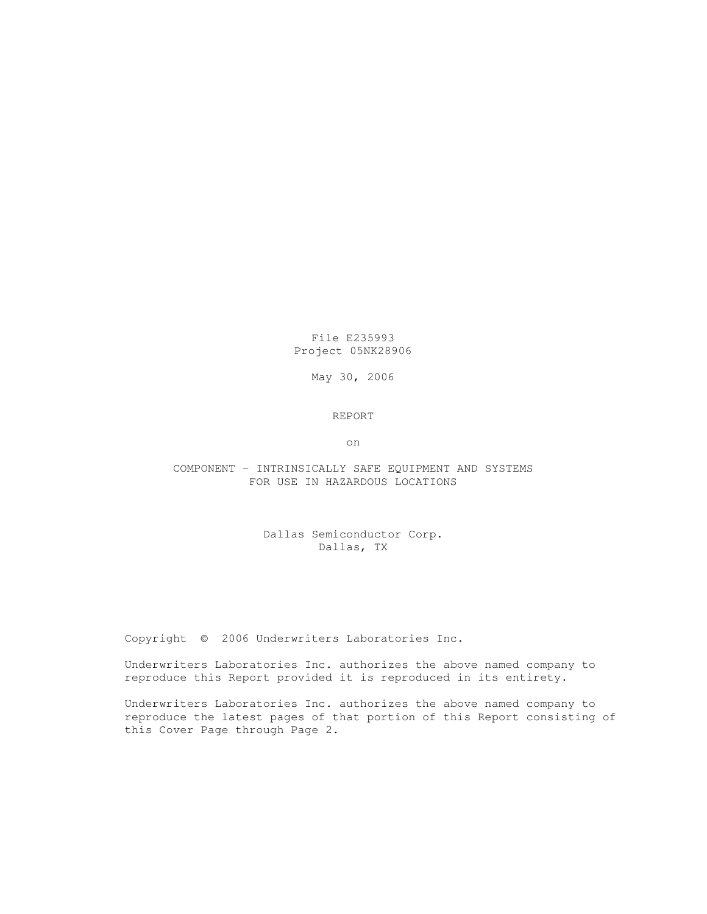File E235993 Project 05NK28906

May 30, 2006

## REPORT

on

## COMPONENT - INTRINSICALLY SAFE EQUIPMENT AND SYSTEMS FOR USE IN HAZARDOUS LOCATIONS

# Dallas Semiconductor Corp. Dallas, TX

Copyright © 2006 Underwriters Laboratories Inc.

Underwriters Laboratories Inc. authorizes the above named company to reproduce this Report provided it is reproduced in its entirety.

Underwriters Laboratories Inc. authorizes the above named company to reproduce the latest pages of that portion of this Report consisting of this Cover Page through Page 2.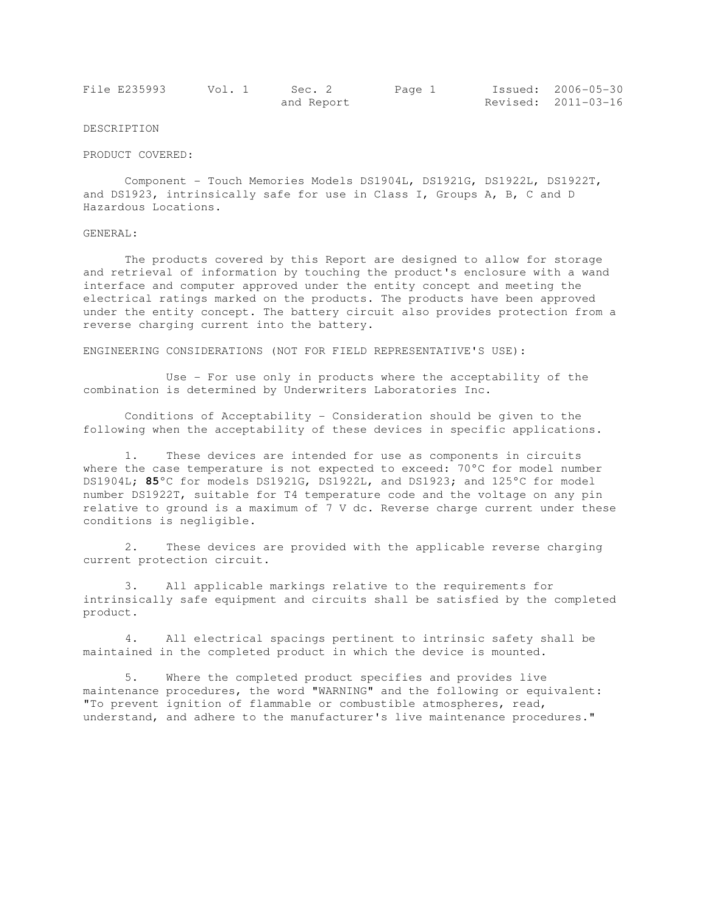| File E235993 | Vol. 1 | Sec. 2     | Page 1 | Issued: 2006-05-30  |
|--------------|--------|------------|--------|---------------------|
|              |        | and Report |        | Revised: 2011-03-16 |

### DESCRIPTION

#### PRODUCT COVERED:

 Component - Touch Memories Models DS1904L, DS1921G, DS1922L, DS1922T, and DS1923, intrinsically safe for use in Class I, Groups A, B, C and D Hazardous Locations.

## GENERAL:

 The products covered by this Report are designed to allow for storage and retrieval of information by touching the product's enclosure with a wand interface and computer approved under the entity concept and meeting the electrical ratings marked on the products. The products have been approved under the entity concept. The battery circuit also provides protection from a reverse charging current into the battery.

ENGINEERING CONSIDERATIONS (NOT FOR FIELD REPRESENTATIVE'S USE):

 Use - For use only in products where the acceptability of the combination is determined by Underwriters Laboratories Inc.

 Conditions of Acceptability - Consideration should be given to the following when the acceptability of these devices in specific applications.

 1. These devices are intended for use as components in circuits where the case temperature is not expected to exceed: 70°C for model number DS1904L; **85**°C for models DS1921G, DS1922L, and DS1923; and 125°C for model number DS1922T, suitable for T4 temperature code and the voltage on any pin relative to ground is a maximum of 7 V dc. Reverse charge current under these conditions is negligible.

 2. These devices are provided with the applicable reverse charging current protection circuit.

 3. All applicable markings relative to the requirements for intrinsically safe equipment and circuits shall be satisfied by the completed product.

 4. All electrical spacings pertinent to intrinsic safety shall be maintained in the completed product in which the device is mounted.

 5. Where the completed product specifies and provides live maintenance procedures, the word "WARNING" and the following or equivalent: "To prevent ignition of flammable or combustible atmospheres, read, understand, and adhere to the manufacturer's live maintenance procedures."